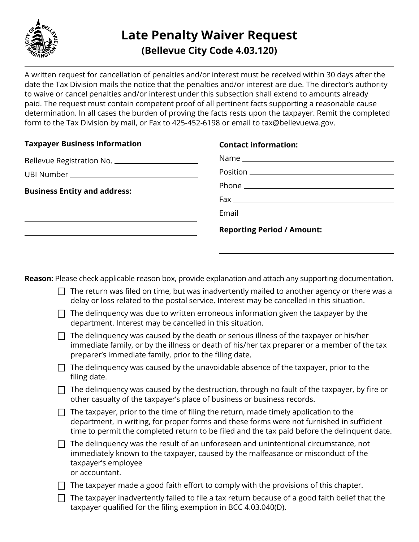

A written request for cancellation of penalties and/or interest must be received within 30 days after the date the Tax Division mails the notice that the penalties and/or interest are due. The director's authority to waive or cancel penalties and/or interest under this subsection shall extend to amounts already paid. The request must contain competent proof of all pertinent facts supporting a reasonable cause determination. In all cases the burden of proving the facts rests upon the taxpayer. Remit the completed form to the Tax Division by mail, or Fax to 425-452-6198 or email to tax@bellevuewa.gov.

| <b>Contact information:</b>                                                                                                                                                                                                        |
|------------------------------------------------------------------------------------------------------------------------------------------------------------------------------------------------------------------------------------|
| Bellevue Registration No. _______________________                                                                                                                                                                                  |
|                                                                                                                                                                                                                                    |
|                                                                                                                                                                                                                                    |
|                                                                                                                                                                                                                                    |
| Email <b>Email Exercise Contract Contract Contract Contract Contract Contract Contract Contract Contract Contract Contract Contract Contract Contract Contract Contract Contract Contract Contract Contract Contract Contract </b> |
| <b>Reporting Period / Amount:</b>                                                                                                                                                                                                  |
|                                                                                                                                                                                                                                    |
|                                                                                                                                                                                                                                    |

**Reason:** Please check applicable reason box, provide explanation and attach any supporting documentation.

- $\Box$  The return was filed on time, but was inadvertently mailed to another agency or there was a delay or loss related to the postal service. Interest may be cancelled in this situation.
- $\Box$  The delinguency was due to written erroneous information given the taxpayer by the department. Interest may be cancelled in this situation.
- $\Box$  The delinguency was caused by the death or serious illness of the taxpayer or his/her immediate family, or by the illness or death of his/her tax preparer or a member of the tax preparer's immediate family, prior to the filing date.
- $\Box$  The delinquency was caused by the unavoidable absence of the taxpayer, prior to the filing date.
- $\Box$  The delinguency was caused by the destruction, through no fault of the taxpayer, by fire or other casualty of the taxpayer's place of business or business records.
- $\Box$  The taxpayer, prior to the time of filing the return, made timely application to the department, in writing, for proper forms and these forms were not furnished in sufficient time to permit the completed return to be filed and the tax paid before the delinquent date.
- $\Box$  The delinquency was the result of an unforeseen and unintentional circumstance, not immediately known to the taxpayer, caused by the malfeasance or misconduct of the taxpayer's employee or accountant.
- $\Box$  The taxpayer made a good faith effort to comply with the provisions of this chapter.
- $\Box$  The taxpayer inadvertently failed to file a tax return because of a good faith belief that the taxpayer qualified for the filing exemption in BCC 4.03.040(D).